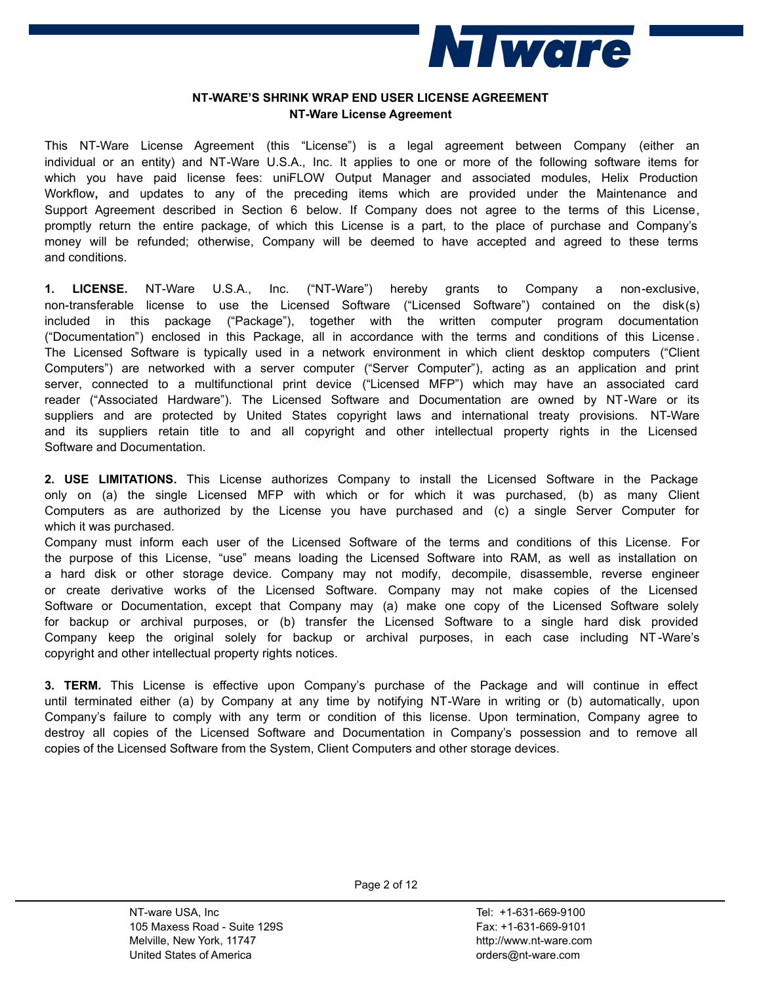

## **NT-WARE'S SHRINK WRAP END USER LICENSE AGREEMENT NT-Ware License Agreement**

This NT-Ware License Agreement (this "License") is a legal agreement between Company (either an individual or an entity) and NT-Ware U.S.A., Inc. It applies to one or more of the following software items for which you have paid license fees: uniFLOW Output Manager and associated modules, Helix Production Workflow**,** and updates to any of the preceding items which are provided under the Maintenance and Support Agreement described in Section 6 below. If Company does not agree to the terms of this License, promptly return the entire package, of which this License is a part, to the place of purchase and Company's money will be refunded; otherwise, Company will be deemed to have accepted and agreed to these terms and conditions.

**1. LICENSE.** NT-Ware U.S.A., Inc. ("NT-Ware") hereby grants to Company a non-exclusive, non-transferable license to use the Licensed Software ("Licensed Software") contained on the disk(s) included in this package ("Package"), together with the written computer program documentation ("Documentation") enclosed in this Package, all in accordance with the terms and conditions of this License . The Licensed Software is typically used in a network environment in which client desktop computers ("Client Computers") are networked with a server computer ("Server Computer"), acting as an application and print server, connected to a multifunctional print device ("Licensed MFP") which may have an associated card reader ("Associated Hardware"). The Licensed Software and Documentation are owned by NT-Ware or its suppliers and are protected by United States copyright laws and international treaty provisions. NT-Ware and its suppliers retain title to and all copyright and other intellectual property rights in the Licensed Software and Documentation.

**2. USE LIMITATIONS.** This License authorizes Company to install the Licensed Software in the Package only on (a) the single Licensed MFP with which or for which it was purchased, (b) as many Client Computers as are authorized by the License you have purchased and (c) a single Server Computer for which it was purchased.

Company must inform each user of the Licensed Software of the terms and conditions of this License. For the purpose of this License, "use" means loading the Licensed Software into RAM, as well as installation on a hard disk or other storage device. Company may not modify, decompile, disassemble, reverse engineer or create derivative works of the Licensed Software. Company may not make copies of the Licensed Software or Documentation, except that Company may (a) make one copy of the Licensed Software solely for backup or archival purposes, or (b) transfer the Licensed Software to a single hard disk provided Company keep the original solely for backup or archival purposes, in each case including NT -Ware's copyright and other intellectual property rights notices.

**3. TERM.** This License is effective upon Company's purchase of the Package and will continue in effect until terminated either (a) by Company at any time by notifying NT-Ware in writing or (b) automatically, upon Company's failure to comply with any term or condition of this license. Upon termination, Company agree to destroy all copies of the Licensed Software and Documentation in Company's possession and to remove all copies of the Licensed Software from the System, Client Computers and other storage devices.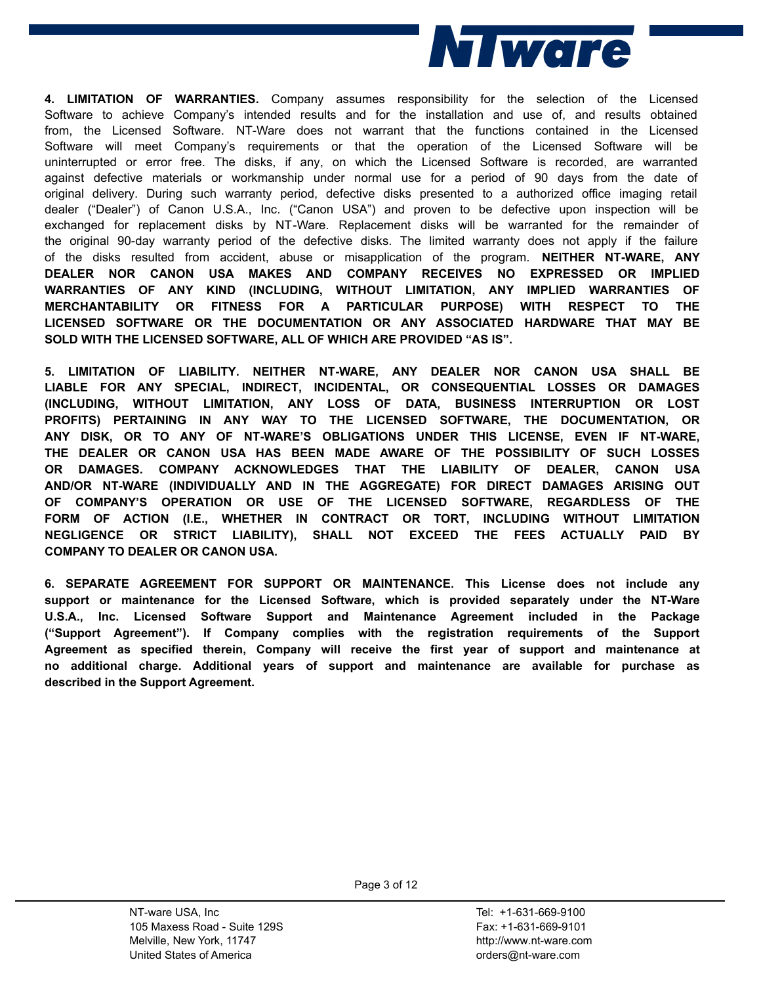

**4. LIMITATION OF WARRANTIES.** Company assumes responsibility for the selection of the Licensed Software to achieve Company's intended results and for the installation and use of, and results obtained from, the Licensed Software. NT-Ware does not warrant that the functions contained in the Licensed Software will meet Company's requirements or that the operation of the Licensed Software will be uninterrupted or error free. The disks, if any, on which the Licensed Software is recorded, are warranted against defective materials or workmanship under normal use for a period of 90 days from the date of original delivery. During such warranty period, defective disks presented to a authorized office imaging retail dealer ("Dealer") of Canon U.S.A., Inc. ("Canon USA") and proven to be defective upon inspection will be exchanged for replacement disks by NT-Ware. Replacement disks will be warranted for the remainder of the original 90-day warranty period of the defective disks. The limited warranty does not apply if the failure of the disks resulted from accident, abuse or misapplication of the program. **NEITHER NT-WARE, ANY DEALER NOR CANON USA MAKES AND COMPANY RECEIVES NO EXPRESSED OR IMPLIED WARRANTIES OF ANY KIND (INCLUDING, WITHOUT LIMITATION, ANY IMPLIED WARRANTIES OF MERCHANTABILITY OR FITNESS FOR A PARTICULAR PURPOSE) WITH RESPECT TO THE LICENSED SOFTWARE OR THE DOCUMENTATION OR ANY ASSOCIATED HARDWARE THAT MAY BE SOLD WITH THE LICENSED SOFTWARE, ALL OF WHICH ARE PROVIDED "AS IS".**

**5. LIMITATION OF LIABILITY. NEITHER NT-WARE, ANY DEALER NOR CANON USA SHALL BE LIABLE FOR ANY SPECIAL, INDIRECT, INCIDENTAL, OR CONSEQUENTIAL LOSSES OR DAMAGES (INCLUDING, WITHOUT LIMITATION, ANY LOSS OF DATA, BUSINESS INTERRUPTION OR LOST PROFITS) PERTAINING IN ANY WAY TO THE LICENSED SOFTWARE, THE DOCUMENTATION, OR ANY DISK, OR TO ANY OF NT-WARE'S OBLIGATIONS UNDER THIS LICENSE, EVEN IF NT-WARE, THE DEALER OR CANON USA HAS BEEN MADE AWARE OF THE POSSIBILITY OF SUCH LOSSES OR DAMAGES. COMPANY ACKNOWLEDGES THAT THE LIABILITY OF DEALER, CANON USA AND/OR NT-WARE (INDIVIDUALLY AND IN THE AGGREGATE) FOR DIRECT DAMAGES ARISING OUT OF COMPANY'S OPERATION OR USE OF THE LICENSED SOFTWARE, REGARDLESS OF THE FORM OF ACTION (I.E., WHETHER IN CONTRACT OR TORT, INCLUDING WITHOUT LIMITATION NEGLIGENCE OR STRICT LIABILITY), SHALL NOT EXCEED THE FEES ACTUALLY PAID BY COMPANY TO DEALER OR CANON USA. 6. SEPARATE AGREEMENT FOR SUPPORT OR MAINTENANCE. This License does not include any** 

**support or maintenance for the Licensed Software, which is provided separately under the NT-Ware U.S.A., Inc. Licensed Software Support and Maintenance Agreement included in the Package ("Support Agreement"). If Company complies with the registration requirements of the Support Agreement as specified therein, Company will receive the first year of support and maintenance at no additional charge. Additional years of support and maintenance are available for purchase as described in the Support Agreement.**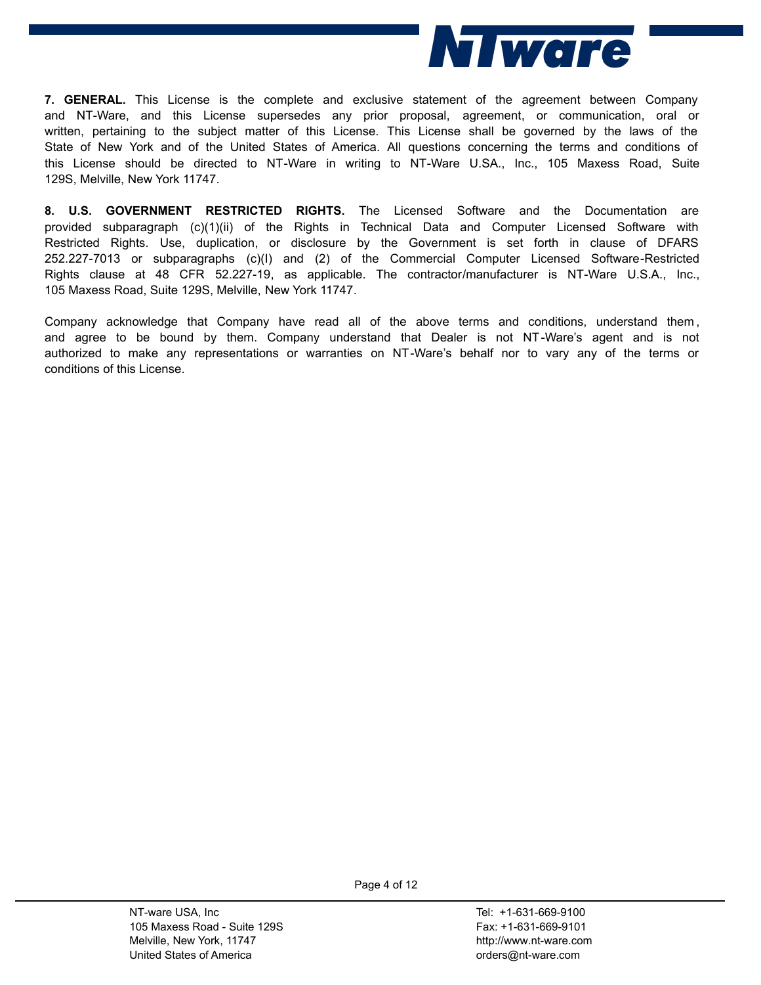

**7. GENERAL.** This License is the complete and exclusive statement of the agreement between Company and NT-Ware, and this License supersedes any prior proposal, agreement, or communication, oral or written, pertaining to the subject matter of this License. This License shall be governed by the laws of the State of New York and of the United States of America. All questions concerning the terms and conditions of this License should be directed to NT-Ware in writing to NT-Ware U.SA., Inc., 105 Maxess Road, Suite 129S, Melville, New York 11747.

**8. U.S. GOVERNMENT RESTRICTED RIGHTS.** The Licensed Software and the Documentation are provided subparagraph (c)(1)(ii) of the Rights in Technical Data and Computer Licensed Software with Restricted Rights. Use, duplication, or disclosure by the Government is set forth in clause of DFARS 252.227-7013 or subparagraphs (c)(I) and (2) of the Commercial Computer Licensed Software-Restricted Rights clause at 48 CFR 52.227-19, as applicable. The contractor/manufacturer is NT-Ware U.S.A., Inc.,

105 Maxess Road, Suite 129S, Melville, New York 11747.<br>Company acknowledge that Company have read all of the above terms and conditions, understand them,<br>and agree to be bound by them. Company understand that Dealer is not authorized to make any representations or warranties on NT-Ware's behalf nor to vary any of the terms or conditions of this License.

> NT-ware USA, Inc 105 Maxess Road - Suite 129S Melville, New York, 11747 United States of America

Tel: +1-631-669-9100 Fax: +1-631-669-9101 http://www.nt-ware.com orders@nt-ware.com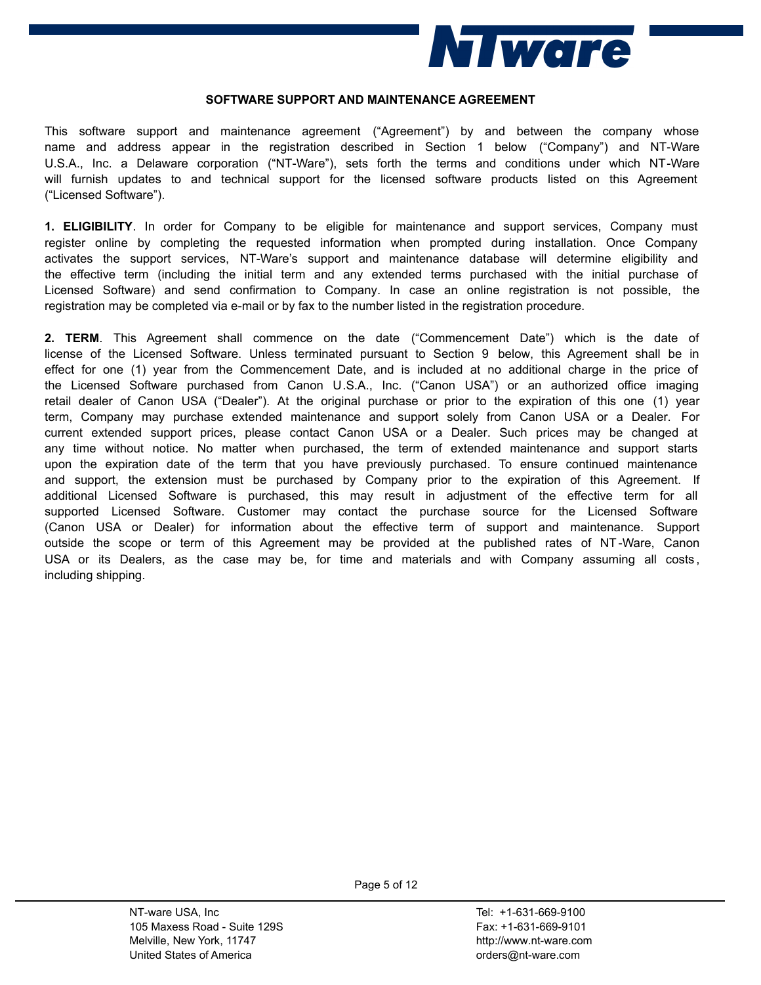

#### **SOFTWARE SUPPORT AND MAINTENANCE AGREEMENT**

This software support and maintenance agreement ("Agreement") by and between the company whose name and address appear in the registration described in Section 1 below ("Company") and NT-Ware U.S.A., Inc. a Delaware corporation ("NT-Ware"), sets forth the terms and conditions under which NT-Ware will furnish updates to and technical support for the licensed software products listed on this Agreement ("Licensed Software").

**1. ELIGIBILITY**. In order for Company to be eligible for maintenance and support services, Company must register online by completing the requested information when prompted during installation. Once Company activates the support services, NT-Ware's support and maintenance database will determine eligibility and the effective term (including the initial term and any extended terms purchased with the initial purchase of Licensed Software) and send confirmation to Company. In case an online registration is not possible, the registration may be completed via e-mail or by fax to the number listed in the registration procedure.

**2. TERM**. This Agreement shall commence on the date ("Commencement Date") which is the date of license of the Licensed Software. Unless terminated pursuant to Section 9 below, this Agreement shall be in effect for one (1) year from the Commencement Date, and is included at no additional charge in the price of the Licensed Software purchased from Canon U.S.A., Inc. ("Canon USA") or an authorized office imaging retail dealer of Canon USA ("Dealer"). At the original purchase or prior to the expiration of this one (1) year term, Company may purchase extended maintenance and support solely from Canon USA or a Dealer. For current extended support prices, please contact Canon USA or a Dealer. Such prices may be changed at any time without notice. No matter when purchased, the term of extended maintenance and support starts upon the expiration date of the term that you have previously purchased. To ensure continued maintenance and support, the extension must be purchased by Company prior to the expiration of this Agreement. If additional Licensed Software is purchased, this may result in adjustment of the effective term for all supported Licensed Software. Customer may contact the purchase source for the Licensed Software (Canon USA or Dealer) for information about the effective term of support and maintenance. Support outside the scope or term of this Agreement may be provided at the published rates of NT-Ware, Canon USA or its Dealers, as the case may be, for time and materials and with Company assuming all costs, including shipping.

> NT-ware USA, Inc 105 Maxess Road - Suite 129S Melville, New York, 11747 United States of America

Tel: +1-631-669-9100 Fax: +1-631-669-9101 http://www.nt-ware.com orders@nt-ware.com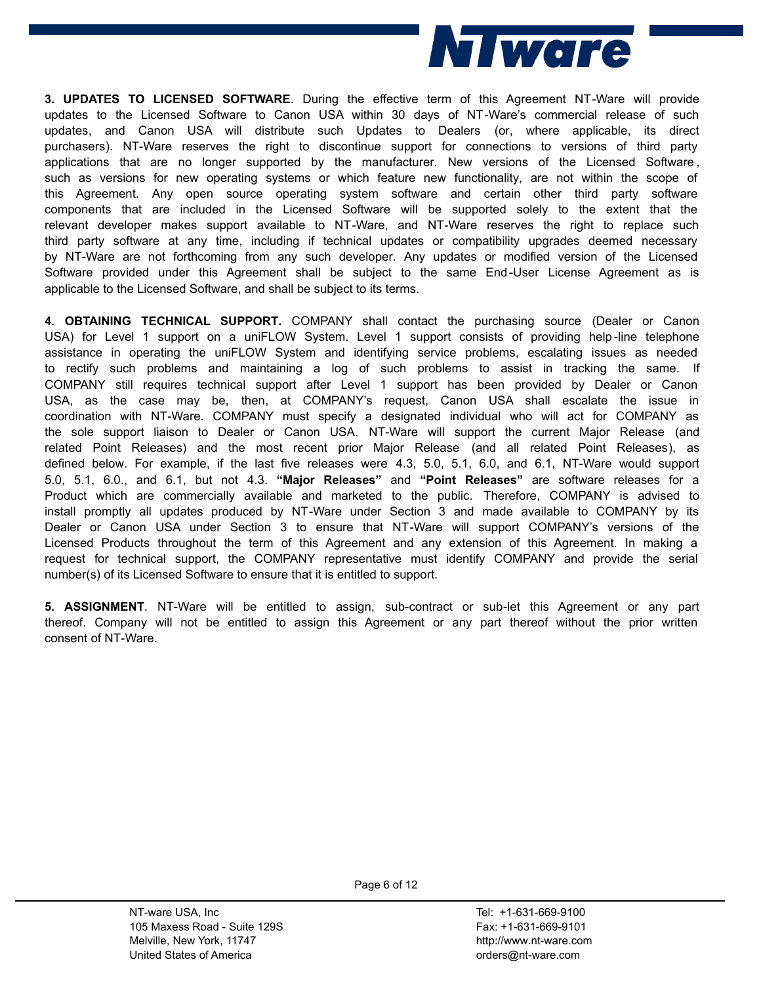

**3. UPDATES TO LICENSED SOFTWARE**. During the effective term of this Agreement NT-Ware will provide updates to the Licensed Software to Canon USA within 30 days of NT-Ware's commercial release of such updates, and Canon USA will distribute such Updates to Dealers (or, where applicable, its direct purchasers). NT-Ware reserves the right to discontinue support for connections to versions of third party applications that are no longer supported by the manufacturer. New versions of the Licensed Software, such as versions for new operating systems or which feature new functionality, are not within the scope of this Agreement. Any open source operating system software and certain other third party software components that are included in the Licensed Software will be supported solely to the extent that the relevant developer makes support available to NT-Ware, and NT-Ware reserves the right to replace such third party software at any time, including if technical updates or compatibility upgrades deemed necessary by NT-Ware are not forthcoming from any such developer. Any updates or modified version of the Licensed Software provided under this Agreement shall be subject to the same End-User License Agreement as is applicable to the Licensed Software, and shall be subject to its terms.

**4**. **OBTAINING TECHNICAL SUPPORT.** COMPANY shall contact the purchasing source (Dealer or Canon USA) for Level 1 support on a uniFLOW System. Level 1 support consists of providing help -line telephone assistance in operating the uniFLOW System and identifying service problems, escalating issues as needed to rectify such problems and maintaining a log of such problems to assist in tracking the same. If COMPANY still requires technical support after Level 1 support has been provided by Dealer or Canon USA, as the case may be, then, at COMPANY's request, Canon USA shall escalate the issue in coordination with NT-Ware. COMPANY must specify a designated individual who will act for COMPANY as the sole support liaison to Dealer or Canon USA. NT-Ware will support the current Major Release (and related Point Releases) and the most recent prior Major Release (and all related Point Releases), as defined below. For example, if the last five releases were 4.3, 5.0, 5.1, 6.0, and 6.1, NT-Ware would support 5.0, 5.1, 6.0., and 6.1, but not 4.3. **"Major Releases"** and **"Point Releases"** are software releases for a Product which are commercially available and marketed to the public. Therefore, COMPANY is advised to install promptly all updates produced by NT-Ware under Section 3 and made available to COMPANY by its Dealer or Canon USA under Section 3 to ensure that NT-Ware will support COMPANY's versions of the Licensed Products throughout the term of this Agreement and any extension of this Agreement. In making a request for technical support, the COMPANY representative must identify COMPANY and provide the serial number(s) of its Licensed Software to ensure that it is entitled to support.

**5. ASSIGNMENT**. NT-Ware will be entitled to assign, sub-contract or sub-let this Agreement or any part thereof. Company will not be entitled to assign this Agreement or any part thereof without the prior written consent of NT-Ware.

> NT-ware USA, Inc 105 Maxess Road - Suite 129S Melville, New York, 11747 United States of America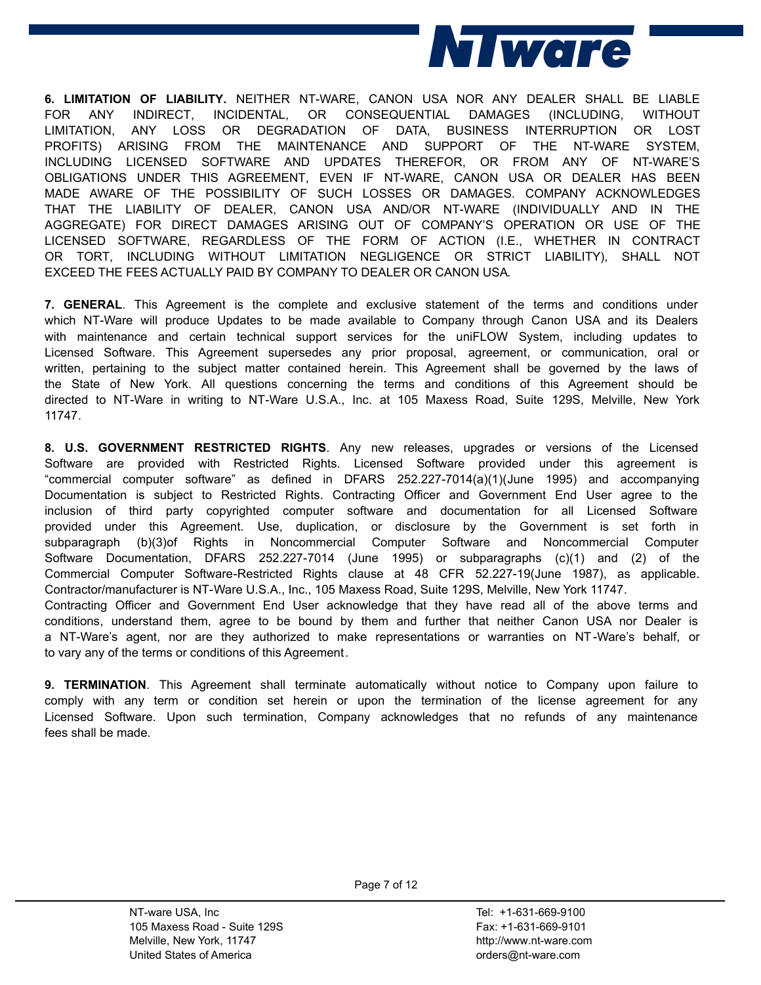

**6. LIMITATION OF LIABILITY.** NEITHER NT-WARE, CANON USA NOR ANY DEALER SHALL BE LIABLE FOR ANY INDIRECT, INCIDENTAL, OR CONSEQUENTIAL DAMAGES (INCLUDING, WITHOUT LIMITATION, ANY LOSS OR DEGRADATION OF DATA, BUSINESS INTERRUPTION OR LOST PROFITS) ARISING FROM THE MAINTENANCE AND SUPPORT OF THE NT-WARE SYSTEM, INCLUDING LICENSED SOFTWARE AND UPDATES THEREFOR, OR FROM ANY OF NT-WARE'S OBLIGATIONS UNDER THIS AGREEMENT, EVEN IF NT-WARE, CANON USA OR DEALER HAS BEEN MADE AWARE OF THE POSSIBILITY OF SUCH LOSSES OR DAMAGES. COMPANY ACKNOWLEDGES THAT THE LIABILITY OF DEALER, CANON USA AND/OR NT-WARE (INDIVIDUALLY AND IN THE AGGREGATE) FOR DIRECT DAMAGES ARISING OUT OF COMPANY'S OPERATION OR USE OF THE LICENSED SOFTWARE, REGARDLESS OF THE FORM OF ACTION (I.E., WHETHER IN CONTRACT OR TORT, INCLUDING WITHOUT LIMITATION NEGLIGENCE OR STRICT LIABILITY), SHALL NOT EXCEED THE FEES ACTUALLY PAID BY COMPANY TO DEALER OR CANON USA.

**7. GENERAL**. This Agreement is the complete and exclusive statement of the terms and conditions under which NT-Ware will produce Updates to be made available to Company through Canon USA and its Dealers with maintenance and certain technical support services for the uniFLOW System, including updates to Licensed Software. This Agreement supersedes any prior proposal, agreement, or communication, oral or written, pertaining to the subject matter contained herein. This Agreement shall be governed by the laws of the State of New York. All questions concerning the terms and conditions of this Agreement should be directed to NT-Ware in writing to NT-Ware U.S.A., Inc. at 105 Maxess Road, Suite 129S, Melville, New York 11747.

**8. U.S. GOVERNMENT RESTRICTED RIGHTS**. Any new releases, upgrades or versions of the Licensed Software are provided with Restricted Rights. Licensed Software provided under this agreement is "commercial computer software" as defined in DFARS 252.227-7014(a)(1)(June 1995) and accompanying Documentation is subject to Restricted Rights. Contracting Officer and Government End User agree to the inclusion of third party copyrighted computer software and documentation for all Licensed Software provided under this Agreement. Use, duplication, or disclosure by the Government is set forth in subparagraph (b)(3)of Rights in Noncommercial Computer Software and Noncommercial Computer Software Documentation, DFARS 252.227-7014 (June 1995) or subparagraphs (c)(1) and (2) of the Commercial Computer Software-Restricted Rights clause at 48 CFR 52.227-19(June 1987), as applicable.<br>Contractor/manufacturer is NT-Ware U.S.A., Inc., 105 Maxess Road, Suite 129S, Melville, New York 11747.<br>Contracting Offic conditions, understand them, agree to be bound by them and further that neither Canon USA nor Dealer is a NT-Ware's agent, nor are they authorized to make representations or warranties on NT-Ware's behalf, or to vary any of the terms or conditions of this Agreement.

**9. TERMINATION**. This Agreement shall terminate automatically without notice to Company upon failure to comply with any term or condition set herein or upon the termination of the license agreement for any Licensed Software. Upon such termination, Company acknowledges that no refunds of any maintenance fees shall be made.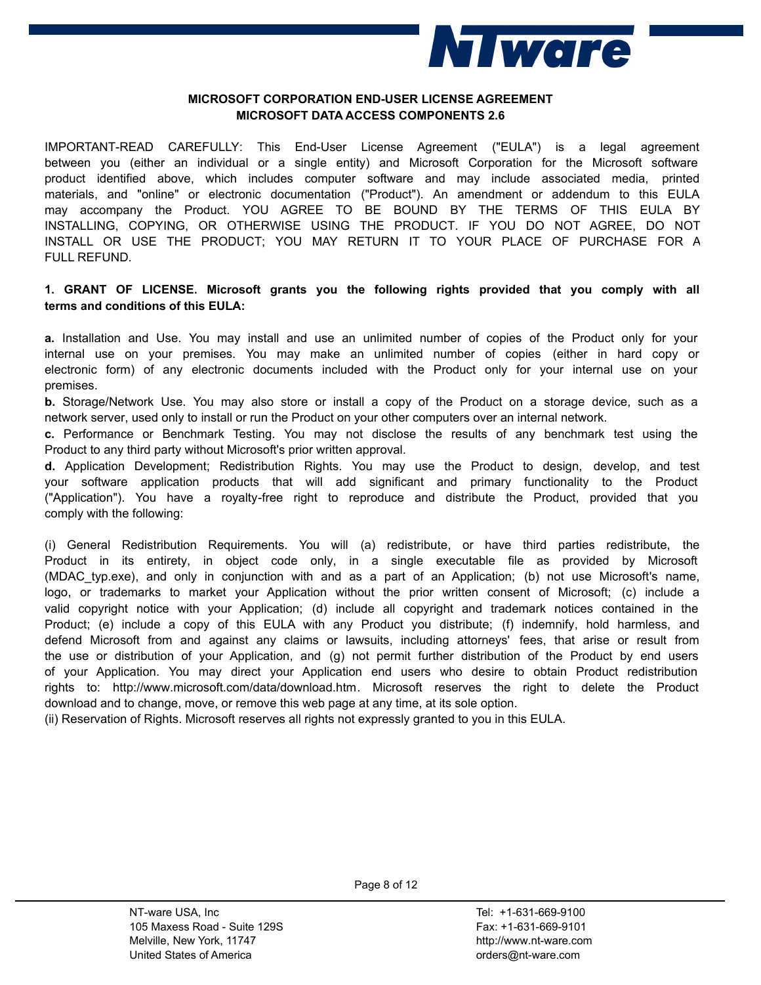

## **MICROSOFT CORPORATION END-USER LICENSE AGREEMENT MICROSOFT DATA ACCESS COMPONENTS 2.6**

IMPORTANT-READ CAREFULLY: This End-User License Agreement ("EULA") is a legal agreement between you (either an individual or a single entity) and Microsoft Corporation for the Microsoft software product identified above, which includes computer software and may include associated media, printed materials, and "online" or electronic documentation ("Product"). An amendment or addendum to this EULA may accompany the Product. YOU AGREE TO BE BOUND BY THE TERMS OF THIS EULA BY INSTALLING, COPYING, OR OTHERWISE USING THE PRODUCT. IF YOU DO NOT AGREE, DO NOT INSTALL OR USE THE PRODUCT; YOU MAY RETURN IT TO YOUR PLACE OF PURCHASE FOR A FULL REFUND.

# **1. GRANT OF LICENSE. Microsoft grants you the following rights provided that you comply with all terms and conditions of this EULA:**

**a.** Installation and Use. You may install and use an unlimited number of copies of the Product only for your internal use on your premises. You may make an unlimited number of copies (either in hard copy or electronic form) of any electronic documents included with the Product only for your internal use on your premises.

**b.** Storage/Network Use. You may also store or install a copy of the Product on a storage device, such as a network server, used only to install or run the Product on your other computers over an internal network.

**c.** Performance or Benchmark Testing. You may not disclose the results of any benchmark test using the Product to any third party without Microsoft's prior written approval.

**d.** Application Development; Redistribution Rights. You may use the Product to design, develop, and test your software application products that will add significant and primary functionality to the Product ("Application"). You have a royalty-free right to reproduce and distribute the Product, provided that you comply with the following:

(i) General Redistribution Requirements. You will (a) redistribute, or have third parties redistribute, the Product in its entirety, in object code only, in a single executable file as provided by Microsoft (MDAC\_typ.exe), and only in conjunction with and as a part of an Application; (b) not use Microsoft's name, logo, or trademarks to market your Application without the prior written consent of Microsoft; (c) include a valid copyright notice with your Application; (d) include all copyright and trademark notices contained in the Product; (e) include a copy of this EULA with any Product you distribute; (f) indemnify, hold harmless, and defend Microsoft from and against any claims or lawsuits, including attorneys' fees, that arise or result from the use or distribution of your Application, and (g) not permit further distribution of the Product by end users of your Application. You may direct your Application end users who desire to obtain Product redistribution rights to: http://www.microsoft.com/data/download.htm. Microsoft reserves the right to delete the Product download and to change, move, or remove this web page at any time, at its sole option.

(ii) Reservation of Rights. Microsoft reserves all rights not expressly granted to you in this EULA.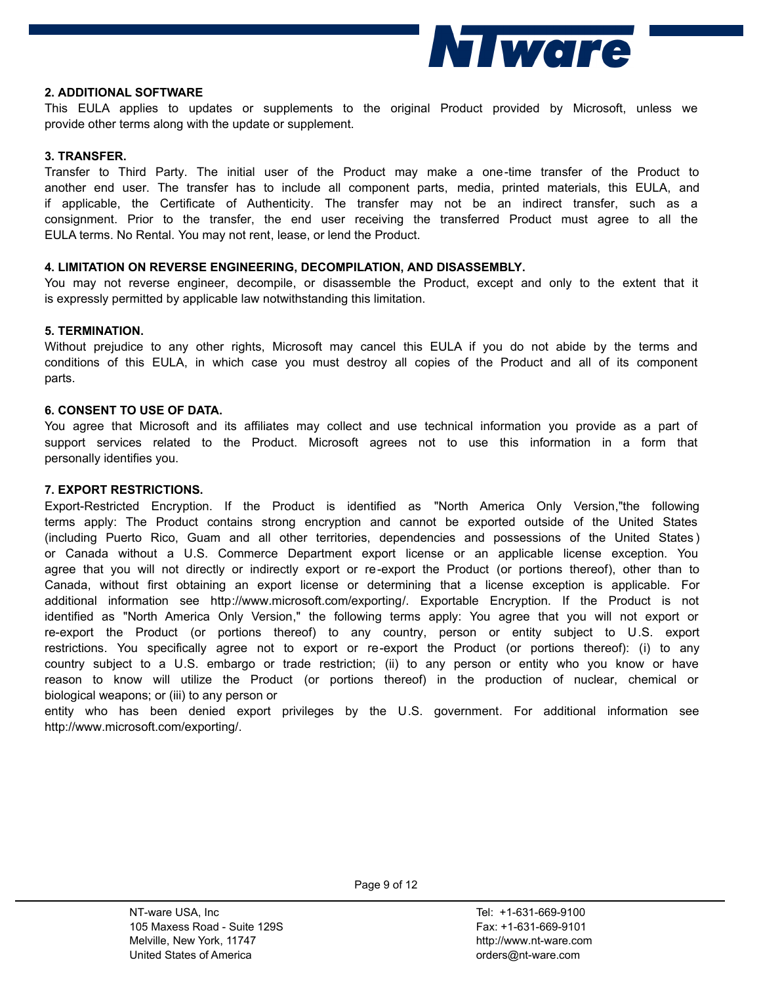

### **2. ADDITIONAL SOFTWARE**

This EULA applies to updates or supplements to the original Product provided by Microsoft, unless we provide other terms along with the update or supplement.

## **3. TRANSFER.**

Transfer to Third Party. The initial user of the Product may make a one-time transfer of the Product to another end user. The transfer has to include all component parts, media, printed materials, this EULA, and if applicable, the Certificate of Authenticity. The transfer may not be an indirect transfer, such as a consignment. Prior to the transfer, the end user receiving the transferred Product must agree to all the EULA terms. No Rental. You may not rent, lease, or lend the Product.

## **4. LIMITATION ON REVERSE ENGINEERING, DECOMPILATION, AND DISASSEMBLY.**

You may not reverse engineer, decompile, or disassemble the Product, except and only to the extent that it is expressly permitted by applicable law notwithstanding this limitation.

## **5. TERMINATION.**

Without prejudice to any other rights, Microsoft may cancel this EULA if you do not abide by the terms and conditions of this EULA, in which case you must destroy all copies of the Product and all of its component parts.

## **6. CONSENT TO USE OF DATA.**

You agree that Microsoft and its affiliates may collect and use technical information you provide as a part of support services related to the Product. Microsoft agrees not to use this information in a form that personally identifies you.

## **7. EXPORT RESTRICTIONS.**

Export-Restricted Encryption. If the Product is identified as "North America Only Version,"the following terms apply: The Product contains strong encryption and cannot be exported outside of the United States (including Puerto Rico, Guam and all other territories, dependencies and possessions of the United States ) or Canada without a U.S. Commerce Department export license or an applicable license exception. You agree that you will not directly or indirectly export or re-export the Product (or portions thereof), other than to Canada, without first obtaining an export license or determining that a license exception is applicable. For additional information see http://www.microsoft.com/exporting/. Exportable Encryption. If the Product is not identified as "North America Only Version," the following terms apply: You agree that you will not export or re-export the Product (or portions thereof) to any country, person or entity subject to U.S. export restrictions. You specifically agree not to export or re-export the Product (or portions thereof): (i) to any country subject to a U.S. embargo or trade restriction; (ii) to any person or entity who you know or have reason to know will utilize the Product (or portions thereof) in the production of nuclear, chemical or biological weapons; or (iii) to any person or

entity who has been denied export privileges by the U.S. government. For additional information see http://www.microsoft.com/exporting/.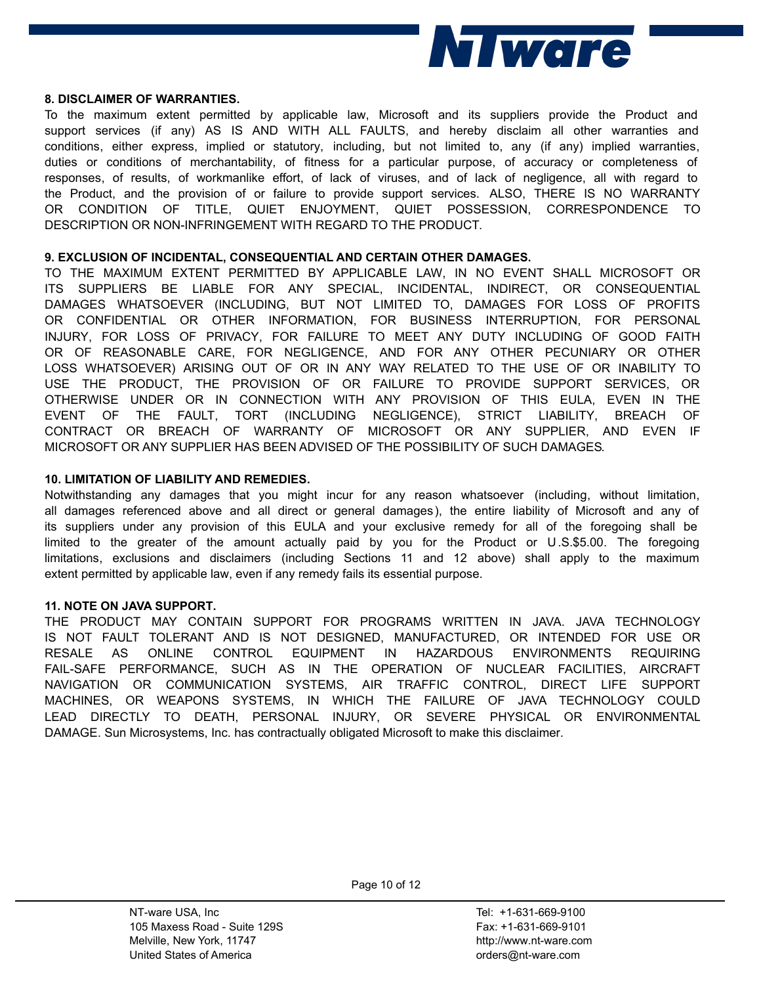

#### **8. DISCLAIMER OF WARRANTIES.**

To the maximum extent permitted by applicable law, Microsoft and its suppliers provide the Product and support services (if any) AS IS AND WITH ALL FAULTS, and hereby disclaim all other warranties and conditions, either express, implied or statutory, including, but not limited to, any (if any) implied warranties, duties or conditions of merchantability, of fitness for a particular purpose, of accuracy or completeness of responses, of results, of workmanlike effort, of lack of viruses, and of lack of negligence, all with regard to the Product, and the provision of or failure to provide support services. ALSO, THERE IS NO WARRANTY OR CONDITION OF TITLE, QUIET ENJOYMENT, QUIET POSSESSION, CORRESPONDENCE TO DESCRIPTION OR NON-INFRINGEMENT WITH REGARD TO THE PRODUCT.

## **9. EXCLUSION OF INCIDENTAL, CONSEQUENTIAL AND CERTAIN OTHER DAMAGES.**

TO THE MAXIMUM EXTENT PERMITTED BY APPLICABLE LAW, IN NO EVENT SHALL MICROSOFT OR ITS SUPPLIERS BE LIABLE FOR ANY SPECIAL, INCIDENTAL, INDIRECT, OR CONSEQUENTIAL DAMAGES WHATSOEVER (INCLUDING, BUT NOT LIMITED TO, DAMAGES FOR LOSS OF PROFITS OR CONFIDENTIAL OR OTHER INFORMATION, FOR BUSINESS INTERRUPTION, FOR PERSONAL INJURY, FOR LOSS OF PRIVACY, FOR FAILURE TO MEET ANY DUTY INCLUDING OF GOOD FAITH OR OF REASONABLE CARE, FOR NEGLIGENCE, AND FOR ANY OTHER PECUNIARY OR OTHER LOSS WHATSOEVER) ARISING OUT OF OR IN ANY WAY RELATED TO THE USE OF OR INABILITY TO USE THE PRODUCT, THE PROVISION OF OR FAILURE TO PROVIDE SUPPORT SERVICES, OR OTHERWISE UNDER OR IN CONNECTION WITH ANY PROVISION OF THIS EULA, EVEN IN THE EVENT OF THE FAULT, TORT (INCLUDING NEGLIGENCE), STRICT LIABILITY, BREACH OF CONTRACT OR BREACH OF WARRANTY OF MICROSOFT OR ANY SUPPLIER, AND EVEN IF MICROSOFT OR ANY SUPPLIER HAS BEEN ADVISED OF THE POSSIBILITY OF SUCH DAMAGES.

## **10. LIMITATION OF LIABILITY AND REMEDIES.**

Notwithstanding any damages that you might incur for any reason whatsoever (including, without limitation, all damages referenced above and all direct or general damages), the entire liability of Microsoft and any of its suppliers under any provision of this EULA and your exclusive remedy for all of the foregoing shall be limited to the greater of the amount actually paid by you for the Product or U.S.\$5.00. The foregoing limitations, exclusions and disclaimers (including Sections 11 and 12 above) shall apply to the maximum extent permitted by applicable law, even if any remedy fails its essential purpose.

## **11. NOTE ON JAVA SUPPORT.**

THE PRODUCT MAY CONTAIN SUPPORT FOR PROGRAMS WRITTEN IN JAVA. JAVA TECHNOLOGY IS NOT FAULT TOLERANT AND IS NOT DESIGNED, MANUFACTURED, OR INTENDED FOR USE OR RESALE AS ONLINE CONTROL EQUIPMENT IN HAZARDOUS ENVIRONMENTS REQUIRING FAIL-SAFE PERFORMANCE, SUCH AS IN THE OPERATION OF NUCLEAR FACILITIES, AIRCRAFT NAVIGATION OR COMMUNICATION SYSTEMS, AIR TRAFFIC CONTROL, DIRECT LIFE SUPPORT MACHINES, OR WEAPONS SYSTEMS, IN WHICH THE FAILURE OF JAVA TECHNOLOGY COULD LEAD DIRECTLY TO DEATH, PERSONAL INJURY, OR SEVERE PHYSICAL OR ENVIRONMENTAL DAMAGE. Sun Microsystems, Inc. has contractually obligated Microsoft to make this disclaimer.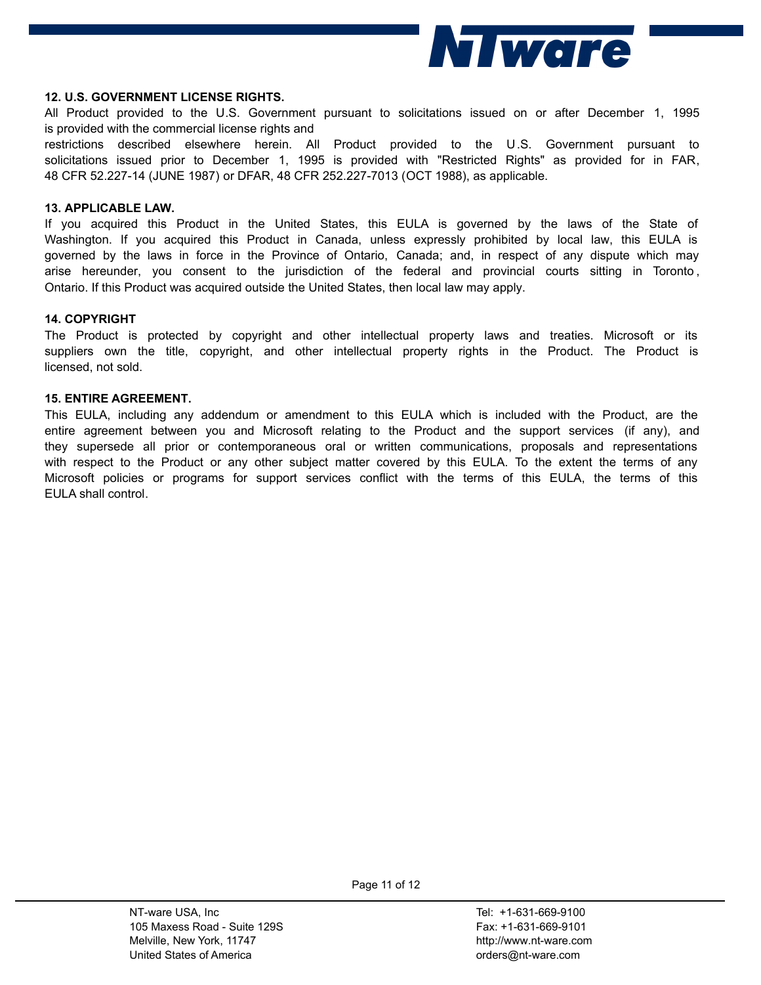

#### **12. U.S. GOVERNMENT LICENSE RIGHTS.**

All Product provided to the U.S. Government pursuant to solicitations issued on or after December 1, 1995 is provided with the commercial license rights and

restrictions described elsewhere herein. All Product provided to the U.S. Government pursuant to solicitations issued prior to December 1, 1995 is provided with "Restricted Rights" as provided for in FAR, 48 CFR 52.227-7013 (OCT 1988), as applicable.

#### **13. APPLICABLE LAW.**

If you acquired this Product in the United States, this EULA is governed by the laws of the State of Washington. If you acquired this Product in Canada, unless expressly prohibited by local law, this EULA is governed by the laws in force in the Province of Ontario, Canada; and, in respect of any dispute which may arise hereunder, you consent to the jurisdiction of the federal and provincial courts sitting in Toronto , Ontario. If this Product was acquired outside the United States, then local law may apply.

#### **14. COPYRIGHT**

The Product is protected by copyright and other intellectual property laws and treaties. Microsoft or its suppliers own the title, copyright, and other intellectual property rights in the Product. The Product is licensed, not sold.

#### **15. ENTIRE AGREEMENT.**

This EULA, including any addendum or amendment to this EULA which is included with the Product, are the entire agreement between you and Microsoft relating to the Product and the support services (if any), and they supersede all prior or contemporaneous oral or written communications, proposals and representations with respect to the Product or any other subject matter covered by this EULA. To the extent the terms of any Microsoft policies or programs for support services conflict with the terms of this EULA, the terms of this EULA shall control.